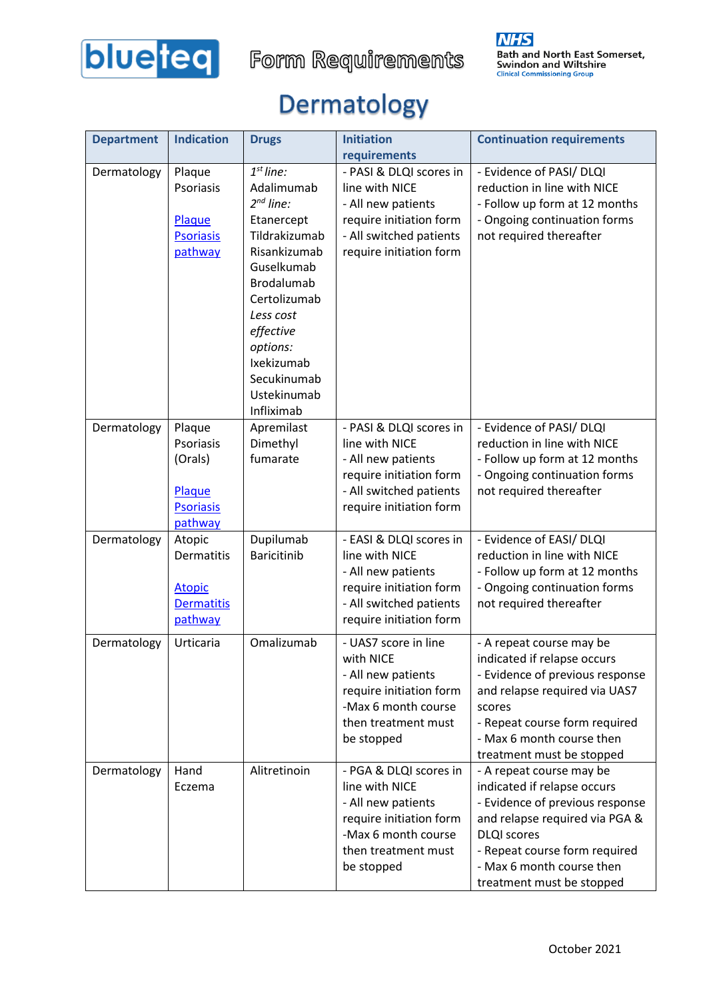

### Dermatology

| <b>Department</b> | <b>Indication</b>                                                       | <b>Drugs</b>                                                                                                                                                                                                                           | <b>Initiation</b>                                                                                                                                                | <b>Continuation requirements</b>                                                                                                                                                                                                              |
|-------------------|-------------------------------------------------------------------------|----------------------------------------------------------------------------------------------------------------------------------------------------------------------------------------------------------------------------------------|------------------------------------------------------------------------------------------------------------------------------------------------------------------|-----------------------------------------------------------------------------------------------------------------------------------------------------------------------------------------------------------------------------------------------|
| Dermatology       | Plaque<br>Psoriasis<br>Plaque<br><b>Psoriasis</b><br>pathway            | $1st$ line:<br>Adalimumab<br>$2^{nd}$ line:<br>Etanercept<br>Tildrakizumab<br>Risankizumab<br>Guselkumab<br>Brodalumab<br>Certolizumab<br>Less cost<br>effective<br>options:<br>Ixekizumab<br>Secukinumab<br>Ustekinumab<br>Infliximab | requirements<br>- PASI & DLQI scores in<br>line with NICE<br>- All new patients<br>require initiation form<br>- All switched patients<br>require initiation form | - Evidence of PASI/ DLQI<br>reduction in line with NICE<br>- Follow up form at 12 months<br>- Ongoing continuation forms<br>not required thereafter                                                                                           |
| Dermatology       | Plaque<br>Psoriasis<br>(Orals)<br>Plaque<br><b>Psoriasis</b><br>pathway | Apremilast<br>Dimethyl<br>fumarate                                                                                                                                                                                                     | - PASI & DLQI scores in<br>line with NICE<br>- All new patients<br>require initiation form<br>- All switched patients<br>require initiation form                 | - Evidence of PASI/ DLQI<br>reduction in line with NICE<br>- Follow up form at 12 months<br>- Ongoing continuation forms<br>not required thereafter                                                                                           |
| Dermatology       | Atopic<br>Dermatitis<br><b>Atopic</b><br><b>Dermatitis</b><br>pathway   | Dupilumab<br><b>Baricitinib</b>                                                                                                                                                                                                        | - EASI & DLQI scores in<br>line with NICE<br>- All new patients<br>require initiation form<br>- All switched patients<br>require initiation form                 | - Evidence of EASI/ DLQI<br>reduction in line with NICE<br>- Follow up form at 12 months<br>- Ongoing continuation forms<br>not required thereafter                                                                                           |
| Dermatology       | Urticaria                                                               | Omalizumab                                                                                                                                                                                                                             | - UAS7 score in line<br>with NICE<br>- All new patients<br>require initiation form<br>-Max 6 month course<br>then treatment must<br>be stopped                   | - A repeat course may be<br>indicated if relapse occurs<br>- Evidence of previous response<br>and relapse required via UAS7<br>scores<br>- Repeat course form required<br>- Max 6 month course then<br>treatment must be stopped              |
| Dermatology       | Hand<br>Eczema                                                          | Alitretinoin                                                                                                                                                                                                                           | - PGA & DLQI scores in<br>line with NICE<br>- All new patients<br>require initiation form<br>-Max 6 month course<br>then treatment must<br>be stopped            | - A repeat course may be<br>indicated if relapse occurs<br>- Evidence of previous response<br>and relapse required via PGA &<br><b>DLQI</b> scores<br>- Repeat course form required<br>- Max 6 month course then<br>treatment must be stopped |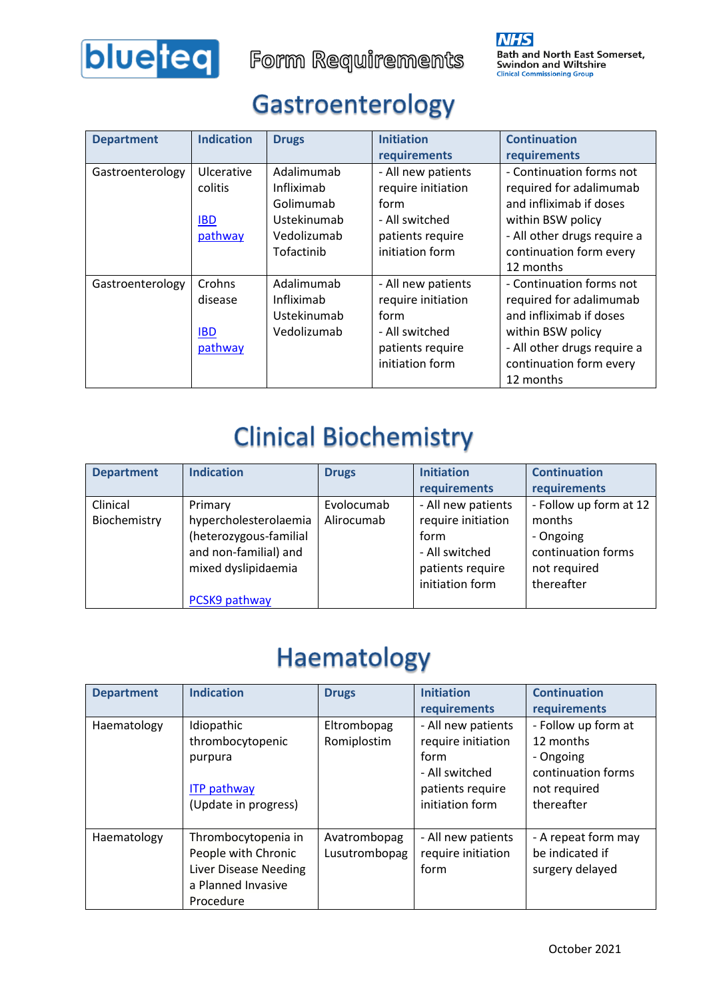

Form Requirements

#### Gastroenterology

| <b>Department</b> | <b>Indication</b> | <b>Drugs</b> | <b>Initiation</b>  | <b>Continuation</b>         |
|-------------------|-------------------|--------------|--------------------|-----------------------------|
|                   |                   |              | requirements       | requirements                |
| Gastroenterology  | Ulcerative        | Adalimumab   | - All new patients | - Continuation forms not    |
|                   | colitis           | Infliximab   | require initiation | required for adalimumab     |
|                   |                   | Golimumab    | form               | and infliximab if doses     |
|                   | <b>IBD</b>        | Ustekinumab  | - All switched     | within BSW policy           |
|                   | pathway           | Vedolizumab  | patients require   | - All other drugs require a |
|                   |                   | Tofactinib   | initiation form    | continuation form every     |
|                   |                   |              |                    | 12 months                   |
| Gastroenterology  | Crohns            | Adalimumab   | - All new patients | - Continuation forms not    |
|                   | disease           | Infliximab   | require initiation | required for adalimumab     |
|                   |                   | Ustekinumab  | form               | and infliximab if doses     |
|                   | <b>IBD</b>        | Vedolizumab  | - All switched     | within BSW policy           |
|                   | pathway           |              | patients require   | - All other drugs require a |
|                   |                   |              | initiation form    | continuation form every     |
|                   |                   |              |                    | 12 months                   |

### **Clinical Biochemistry**

| <b>Department</b> | <b>Indication</b>      | <b>Drugs</b> | <b>Initiation</b><br>requirements | <b>Continuation</b><br>requirements |
|-------------------|------------------------|--------------|-----------------------------------|-------------------------------------|
|                   |                        |              |                                   |                                     |
| Clinical          | Primary                | Evolocumab   | - All new patients                | - Follow up form at 12              |
| Biochemistry      | hypercholesterolaemia  | Alirocumab   | require initiation                | months                              |
|                   | (heterozygous-familial |              | form                              | - Ongoing                           |
|                   | and non-familial) and  |              | - All switched                    | continuation forms                  |
|                   | mixed dyslipidaemia    |              | patients require                  | not required                        |
|                   |                        |              | initiation form                   | thereafter                          |
|                   | PCSK9 pathway          |              |                                   |                                     |

### Haematology

| <b>Department</b> | <b>Indication</b>              | <b>Drugs</b>               | <b>Initiation</b>                        | <b>Continuation</b>              |
|-------------------|--------------------------------|----------------------------|------------------------------------------|----------------------------------|
|                   |                                |                            | requirements                             | requirements                     |
| Haematology       | Idiopathic<br>thrombocytopenic | Eltrombopag<br>Romiplostim | - All new patients<br>require initiation | - Follow up form at<br>12 months |
|                   | purpura                        |                            | form<br>- All switched                   | - Ongoing<br>continuation forms  |
|                   | <b>ITP pathway</b>             |                            | patients require                         | not required                     |
|                   | (Update in progress)           |                            | initiation form                          | thereafter                       |
| Haematology       | Thrombocytopenia in            | Avatrombopag               | - All new patients                       | - A repeat form may              |
|                   | People with Chronic            | Lusutrombopag              | require initiation                       | be indicated if                  |
|                   | <b>Liver Disease Needing</b>   |                            | form                                     | surgery delayed                  |
|                   | a Planned Invasive             |                            |                                          |                                  |
|                   | Procedure                      |                            |                                          |                                  |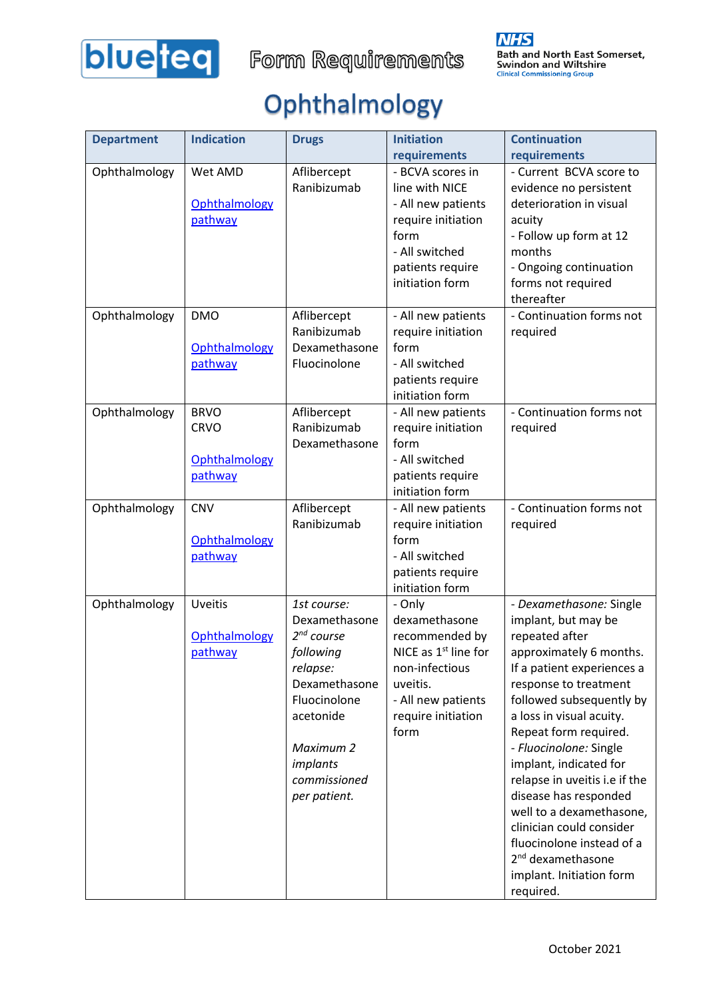

# Ophthalmology

| <b>Department</b> | <b>Indication</b> | <b>Drugs</b>    | <b>Initiation</b>                   | <b>Continuation</b>                             |
|-------------------|-------------------|-----------------|-------------------------------------|-------------------------------------------------|
|                   |                   |                 | requirements                        | requirements                                    |
| Ophthalmology     | Wet AMD           | Aflibercept     | - BCVA scores in                    | - Current BCVA score to                         |
|                   |                   | Ranibizumab     | line with NICE                      | evidence no persistent                          |
|                   | Ophthalmology     |                 | - All new patients                  | deterioration in visual                         |
|                   | pathway           |                 | require initiation                  | acuity                                          |
|                   |                   |                 | form                                | - Follow up form at 12                          |
|                   |                   |                 | - All switched                      | months                                          |
|                   |                   |                 | patients require                    | - Ongoing continuation                          |
|                   |                   |                 | initiation form                     | forms not required                              |
|                   |                   |                 |                                     | thereafter                                      |
| Ophthalmology     | <b>DMO</b>        | Aflibercept     | - All new patients                  | - Continuation forms not                        |
|                   |                   | Ranibizumab     | require initiation                  | required                                        |
|                   | Ophthalmology     | Dexamethasone   | form                                |                                                 |
|                   | pathway           | Fluocinolone    | - All switched                      |                                                 |
|                   |                   |                 | patients require                    |                                                 |
|                   |                   |                 | initiation form                     |                                                 |
| Ophthalmology     | <b>BRVO</b>       | Aflibercept     | - All new patients                  | - Continuation forms not                        |
|                   | <b>CRVO</b>       | Ranibizumab     | require initiation                  | required                                        |
|                   | Ophthalmology     | Dexamethasone   | form<br>- All switched              |                                                 |
|                   |                   |                 |                                     |                                                 |
|                   | pathway           |                 | patients require<br>initiation form |                                                 |
| Ophthalmology     | <b>CNV</b>        | Aflibercept     | - All new patients                  | - Continuation forms not                        |
|                   |                   | Ranibizumab     | require initiation                  | required                                        |
|                   | Ophthalmology     |                 | form                                |                                                 |
|                   | pathway           |                 | - All switched                      |                                                 |
|                   |                   |                 | patients require                    |                                                 |
|                   |                   |                 | initiation form                     |                                                 |
| Ophthalmology     | <b>Uveitis</b>    | 1st course:     | - Only                              | - Dexamethasone: Single                         |
|                   |                   | Dexamethasone   | dexamethasone                       | implant, but may be                             |
|                   | Ophthalmology     | $2^{nd}$ course | recommended by                      | repeated after                                  |
|                   | pathway           | following       | NICE as 1 <sup>st</sup> line for    | approximately 6 months.                         |
|                   |                   | relapse:        | non-infectious                      | If a patient experiences a                      |
|                   |                   | Dexamethasone   | uveitis.                            | response to treatment                           |
|                   |                   | Fluocinolone    | - All new patients                  | followed subsequently by                        |
|                   |                   | acetonide       | require initiation                  | a loss in visual acuity.                        |
|                   |                   | Maximum 2       | form                                | Repeat form required.<br>- Fluocinolone: Single |
|                   |                   | implants        |                                     | implant, indicated for                          |
|                   |                   | commissioned    |                                     | relapse in uveitis i.e if the                   |
|                   |                   | per patient.    |                                     | disease has responded                           |
|                   |                   |                 |                                     | well to a dexamethasone,                        |
|                   |                   |                 |                                     | clinician could consider                        |
|                   |                   |                 |                                     | fluocinolone instead of a                       |
|                   |                   |                 |                                     | 2 <sup>nd</sup> dexamethasone                   |
|                   |                   |                 |                                     | implant. Initiation form                        |
|                   |                   |                 |                                     | required.                                       |